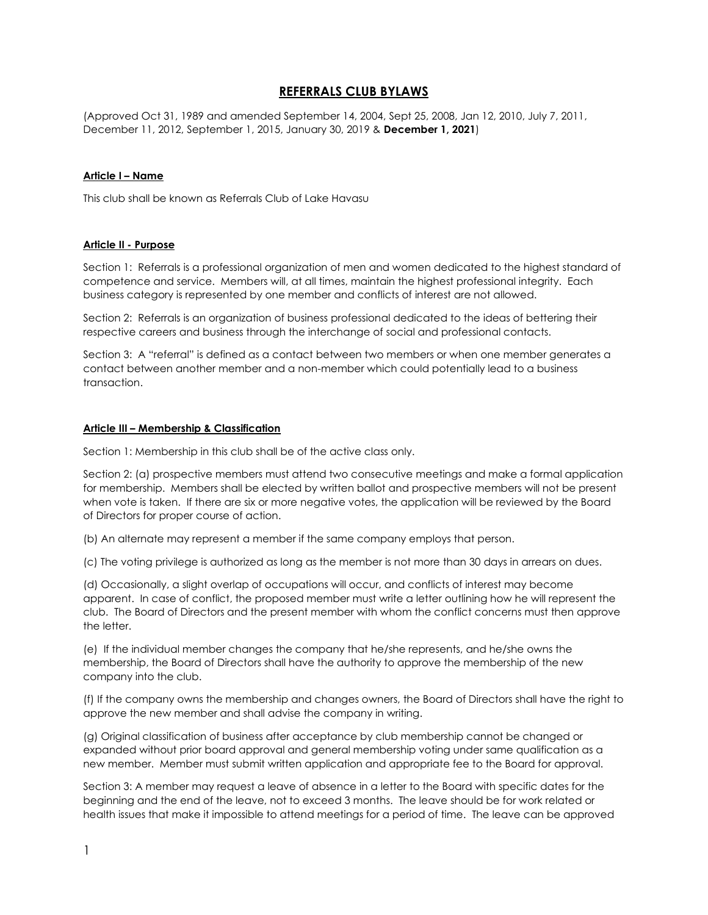# REFERRALS CLUB BYLAWS

(Approved Oct 31, 1989 and amended September 14, 2004, Sept 25, 2008, Jan 12, 2010, July 7, 2011, December 11, 2012, September 1, 2015, January 30, 2019 & December 1, 2021)

#### Article I – Name

This club shall be known as Referrals Club of Lake Havasu

#### Article II - Purpose

Section 1: Referrals is a professional organization of men and women dedicated to the highest standard of competence and service. Members will, at all times, maintain the highest professional integrity. Each business category is represented by one member and conflicts of interest are not allowed.

Section 2: Referrals is an organization of business professional dedicated to the ideas of bettering their respective careers and business through the interchange of social and professional contacts.

Section 3: A "referral" is defined as a contact between two members or when one member generates a contact between another member and a non-member which could potentially lead to a business transaction.

#### Article III – Membership & Classification

Section 1: Membership in this club shall be of the active class only.

Section 2: (a) prospective members must attend two consecutive meetings and make a formal application for membership. Members shall be elected by written ballot and prospective members will not be present when vote is taken. If there are six or more negative votes, the application will be reviewed by the Board of Directors for proper course of action.

(b) An alternate may represent a member if the same company employs that person.

(c) The voting privilege is authorized as long as the member is not more than 30 days in arrears on dues.

(d) Occasionally, a slight overlap of occupations will occur, and conflicts of interest may become apparent. In case of conflict, the proposed member must write a letter outlining how he will represent the club. The Board of Directors and the present member with whom the conflict concerns must then approve the letter.

(e) If the individual member changes the company that he/she represents, and he/she owns the membership, the Board of Directors shall have the authority to approve the membership of the new company into the club.

(f) If the company owns the membership and changes owners, the Board of Directors shall have the right to approve the new member and shall advise the company in writing.

(g) Original classification of business after acceptance by club membership cannot be changed or expanded without prior board approval and general membership voting under same qualification as a new member. Member must submit written application and appropriate fee to the Board for approval.

Section 3: A member may request a leave of absence in a letter to the Board with specific dates for the beginning and the end of the leave, not to exceed 3 months. The leave should be for work related or health issues that make it impossible to attend meetings for a period of time. The leave can be approved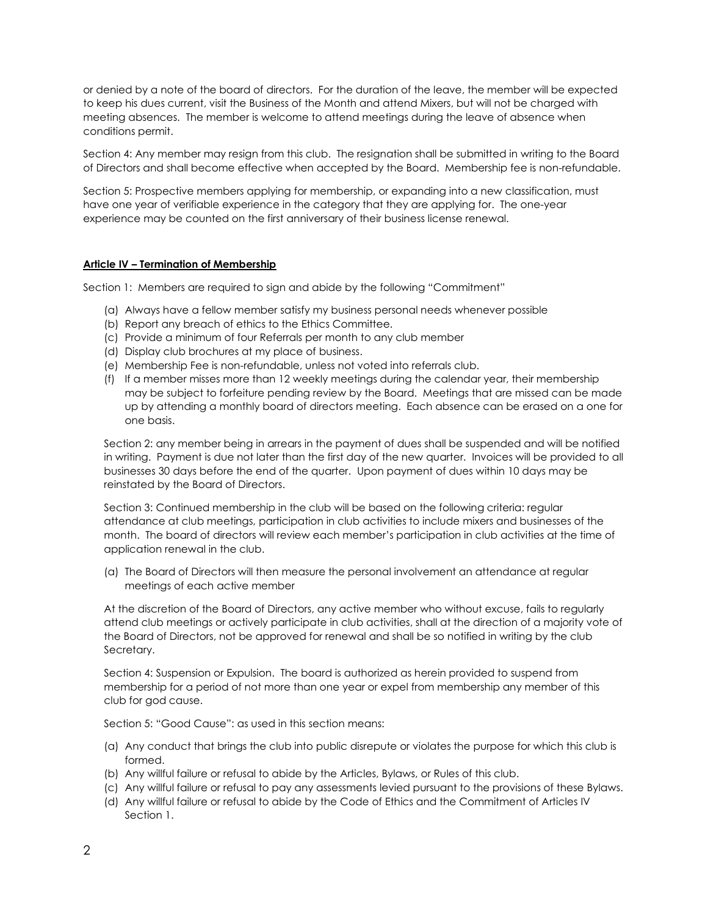or denied by a note of the board of directors. For the duration of the leave, the member will be expected to keep his dues current, visit the Business of the Month and attend Mixers, but will not be charged with meeting absences. The member is welcome to attend meetings during the leave of absence when conditions permit.

Section 4: Any member may resign from this club. The resignation shall be submitted in writing to the Board of Directors and shall become effective when accepted by the Board. Membership fee is non-refundable.

Section 5: Prospective members applying for membership, or expanding into a new classification, must have one year of verifiable experience in the category that they are applying for. The one-year experience may be counted on the first anniversary of their business license renewal.

### Article IV – Termination of Membership

Section 1: Members are required to sign and abide by the following "Commitment"

- (a) Always have a fellow member satisfy my business personal needs whenever possible
- (b) Report any breach of ethics to the Ethics Committee.
- (c) Provide a minimum of four Referrals per month to any club member
- (d) Display club brochures at my place of business.
- (e) Membership Fee is non-refundable, unless not voted into referrals club.
- (f) If a member misses more than 12 weekly meetings during the calendar year, their membership may be subject to forfeiture pending review by the Board. Meetings that are missed can be made up by attending a monthly board of directors meeting. Each absence can be erased on a one for one basis.

Section 2: any member being in arrears in the payment of dues shall be suspended and will be notified in writing. Payment is due not later than the first day of the new quarter. Invoices will be provided to all businesses 30 days before the end of the quarter. Upon payment of dues within 10 days may be reinstated by the Board of Directors.

Section 3: Continued membership in the club will be based on the following criteria: regular attendance at club meetings, participation in club activities to include mixers and businesses of the month. The board of directors will review each member's participation in club activities at the time of application renewal in the club.

(a) The Board of Directors will then measure the personal involvement an attendance at regular meetings of each active member

At the discretion of the Board of Directors, any active member who without excuse, fails to regularly attend club meetings or actively participate in club activities, shall at the direction of a majority vote of the Board of Directors, not be approved for renewal and shall be so notified in writing by the club Secretary.

Section 4: Suspension or Expulsion. The board is authorized as herein provided to suspend from membership for a period of not more than one year or expel from membership any member of this club for god cause.

Section 5: "Good Cause": as used in this section means:

- (a) Any conduct that brings the club into public disrepute or violates the purpose for which this club is formed.
- (b) Any willful failure or refusal to abide by the Articles, Bylaws, or Rules of this club.
- (c) Any willful failure or refusal to pay any assessments levied pursuant to the provisions of these Bylaws.
- (d) Any willful failure or refusal to abide by the Code of Ethics and the Commitment of Articles IV Section 1.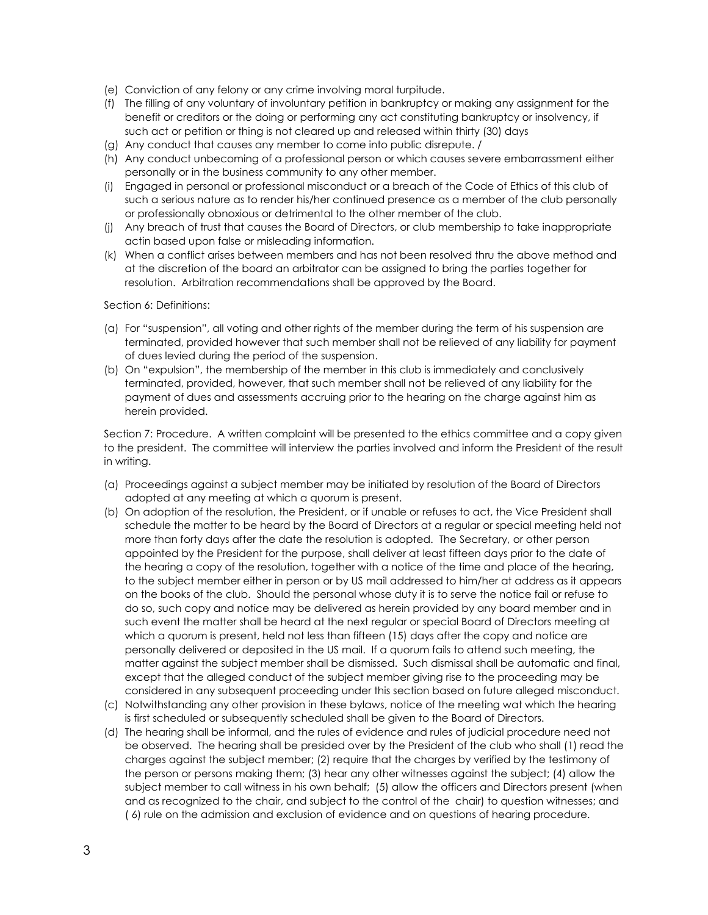- (e) Conviction of any felony or any crime involving moral turpitude.
- (f) The filling of any voluntary of involuntary petition in bankruptcy or making any assignment for the benefit or creditors or the doing or performing any act constituting bankruptcy or insolvency, if such act or petition or thing is not cleared up and released within thirty (30) days
- (g) Any conduct that causes any member to come into public disrepute. /
- (h) Any conduct unbecoming of a professional person or which causes severe embarrassment either personally or in the business community to any other member.
- (i) Engaged in personal or professional misconduct or a breach of the Code of Ethics of this club of such a serious nature as to render his/her continued presence as a member of the club personally or professionally obnoxious or detrimental to the other member of the club.
- (j) Any breach of trust that causes the Board of Directors, or club membership to take inappropriate actin based upon false or misleading information.
- (k) When a conflict arises between members and has not been resolved thru the above method and at the discretion of the board an arbitrator can be assigned to bring the parties together for resolution. Arbitration recommendations shall be approved by the Board.

Section 6: Definitions:

- (a) For "suspension", all voting and other rights of the member during the term of his suspension are terminated, provided however that such member shall not be relieved of any liability for payment of dues levied during the period of the suspension.
- (b) On "expulsion", the membership of the member in this club is immediately and conclusively terminated, provided, however, that such member shall not be relieved of any liability for the payment of dues and assessments accruing prior to the hearing on the charge against him as herein provided.

Section 7: Procedure. A written complaint will be presented to the ethics committee and a copy given to the president. The committee will interview the parties involved and inform the President of the result in writing.

- (a) Proceedings against a subject member may be initiated by resolution of the Board of Directors adopted at any meeting at which a quorum is present.
- (b) On adoption of the resolution, the President, or if unable or refuses to act, the Vice President shall schedule the matter to be heard by the Board of Directors at a regular or special meeting held not more than forty days after the date the resolution is adopted. The Secretary, or other person appointed by the President for the purpose, shall deliver at least fifteen days prior to the date of the hearing a copy of the resolution, together with a notice of the time and place of the hearing, to the subject member either in person or by US mail addressed to him/her at address as it appears on the books of the club. Should the personal whose duty it is to serve the notice fail or refuse to do so, such copy and notice may be delivered as herein provided by any board member and in such event the matter shall be heard at the next regular or special Board of Directors meeting at which a quorum is present, held not less than fifteen (15) days after the copy and notice are personally delivered or deposited in the US mail. If a quorum fails to attend such meeting, the matter against the subject member shall be dismissed. Such dismissal shall be automatic and final, except that the alleged conduct of the subject member giving rise to the proceeding may be considered in any subsequent proceeding under this section based on future alleged misconduct.
- (c) Notwithstanding any other provision in these bylaws, notice of the meeting wat which the hearing is first scheduled or subsequently scheduled shall be given to the Board of Directors.
- (d) The hearing shall be informal, and the rules of evidence and rules of judicial procedure need not be observed. The hearing shall be presided over by the President of the club who shall (1) read the charges against the subject member; (2) require that the charges by verified by the testimony of the person or persons making them; (3) hear any other witnesses against the subject; (4) allow the subject member to call witness in his own behalf; (5) allow the officers and Directors present (when and as recognized to the chair, and subject to the control of the chair) to question witnesses; and ( 6) rule on the admission and exclusion of evidence and on questions of hearing procedure.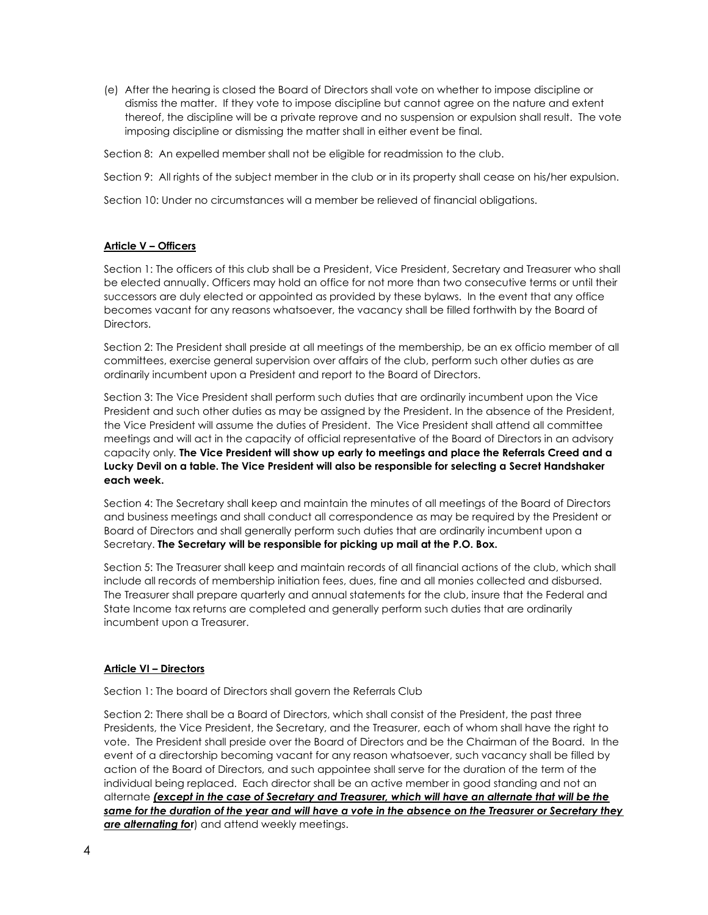(e) After the hearing is closed the Board of Directors shall vote on whether to impose discipline or dismiss the matter. If they vote to impose discipline but cannot agree on the nature and extent thereof, the discipline will be a private reprove and no suspension or expulsion shall result. The vote imposing discipline or dismissing the matter shall in either event be final.

Section 8: An expelled member shall not be eligible for readmission to the club.

Section 9: All rights of the subject member in the club or in its property shall cease on his/her expulsion.

Section 10: Under no circumstances will a member be relieved of financial obligations.

### Article V – Officers

Section 1: The officers of this club shall be a President, Vice President, Secretary and Treasurer who shall be elected annually. Officers may hold an office for not more than two consecutive terms or until their successors are duly elected or appointed as provided by these bylaws. In the event that any office becomes vacant for any reasons whatsoever, the vacancy shall be filled forthwith by the Board of Directors.

Section 2: The President shall preside at all meetings of the membership, be an ex officio member of all committees, exercise general supervision over affairs of the club, perform such other duties as are ordinarily incumbent upon a President and report to the Board of Directors.

Section 3: The Vice President shall perform such duties that are ordinarily incumbent upon the Vice President and such other duties as may be assigned by the President. In the absence of the President, the Vice President will assume the duties of President. The Vice President shall attend all committee meetings and will act in the capacity of official representative of the Board of Directors in an advisory capacity only. The Vice President will show up early to meetings and place the Referrals Creed and a Lucky Devil on a table. The Vice President will also be responsible for selecting a Secret Handshaker each week.

Section 4: The Secretary shall keep and maintain the minutes of all meetings of the Board of Directors and business meetings and shall conduct all correspondence as may be required by the President or Board of Directors and shall generally perform such duties that are ordinarily incumbent upon a Secretary. The Secretary will be responsible for picking up mail at the P.O. Box.

Section 5: The Treasurer shall keep and maintain records of all financial actions of the club, which shall include all records of membership initiation fees, dues, fine and all monies collected and disbursed. The Treasurer shall prepare quarterly and annual statements for the club, insure that the Federal and State Income tax returns are completed and generally perform such duties that are ordinarily incumbent upon a Treasurer.

### Article VI – Directors

Section 1: The board of Directors shall govern the Referrals Club

Section 2: There shall be a Board of Directors, which shall consist of the President, the past three Presidents, the Vice President, the Secretary, and the Treasurer, each of whom shall have the right to vote. The President shall preside over the Board of Directors and be the Chairman of the Board. In the event of a directorship becoming vacant for any reason whatsoever, such vacancy shall be filled by action of the Board of Directors, and such appointee shall serve for the duration of the term of the individual being replaced. Each director shall be an active member in good standing and not an alternate (except in the case of Secretary and Treasurer, which will have an alternate that will be the same for the duration of the year and will have a vote in the absence on the Treasurer or Secretary they are alternating for) and attend weekly meetings.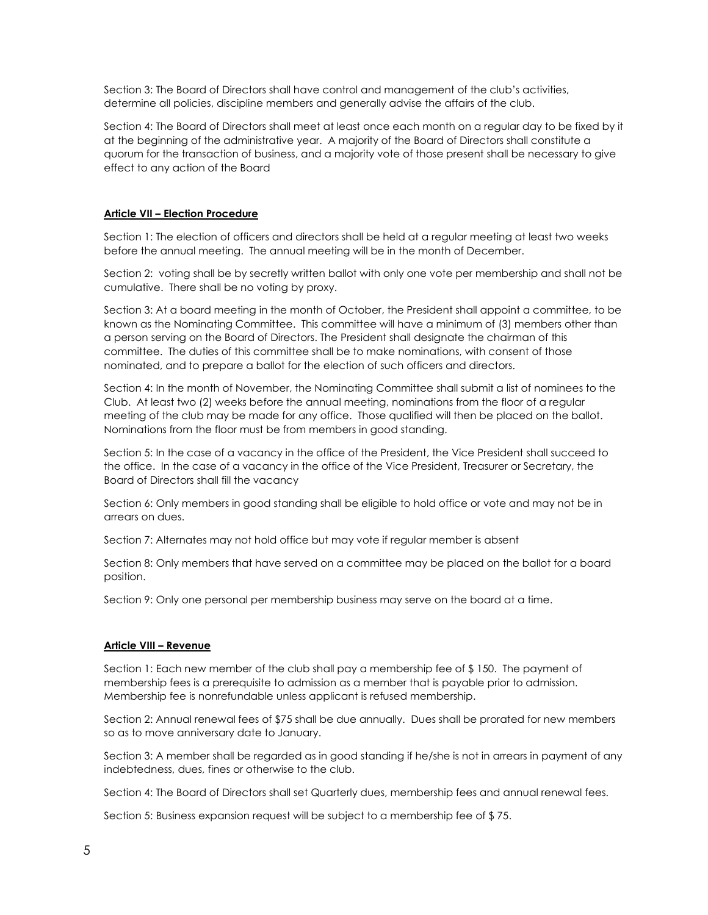Section 3: The Board of Directors shall have control and management of the club's activities, determine all policies, discipline members and generally advise the affairs of the club.

Section 4: The Board of Directors shall meet at least once each month on a regular day to be fixed by it at the beginning of the administrative year. A majority of the Board of Directors shall constitute a quorum for the transaction of business, and a majority vote of those present shall be necessary to give effect to any action of the Board

## Article VII – Election Procedure

Section 1: The election of officers and directors shall be held at a regular meeting at least two weeks before the annual meeting. The annual meeting will be in the month of December.

Section 2: voting shall be by secretly written ballot with only one vote per membership and shall not be cumulative. There shall be no voting by proxy.

Section 3: At a board meeting in the month of October, the President shall appoint a committee, to be known as the Nominating Committee. This committee will have a minimum of (3) members other than a person serving on the Board of Directors. The President shall designate the chairman of this committee. The duties of this committee shall be to make nominations, with consent of those nominated, and to prepare a ballot for the election of such officers and directors.

Section 4: In the month of November, the Nominating Committee shall submit a list of nominees to the Club. At least two (2) weeks before the annual meeting, nominations from the floor of a regular meeting of the club may be made for any office. Those qualified will then be placed on the ballot. Nominations from the floor must be from members in good standing.

Section 5: In the case of a vacancy in the office of the President, the Vice President shall succeed to the office. In the case of a vacancy in the office of the Vice President, Treasurer or Secretary, the Board of Directors shall fill the vacancy

Section 6: Only members in good standing shall be eligible to hold office or vote and may not be in arrears on dues.

Section 7: Alternates may not hold office but may vote if regular member is absent

Section 8: Only members that have served on a committee may be placed on the ballot for a board position.

Section 9: Only one personal per membership business may serve on the board at a time.

### Article VIII – Revenue

Section 1: Each new member of the club shall pay a membership fee of \$ 150. The payment of membership fees is a prerequisite to admission as a member that is payable prior to admission. Membership fee is nonrefundable unless applicant is refused membership.

Section 2: Annual renewal fees of \$75 shall be due annually. Dues shall be prorated for new members so as to move anniversary date to January.

Section 3: A member shall be regarded as in good standing if he/she is not in arrears in payment of any indebtedness, dues, fines or otherwise to the club.

Section 4: The Board of Directors shall set Quarterly dues, membership fees and annual renewal fees.

Section 5: Business expansion request will be subject to a membership fee of \$ 75.